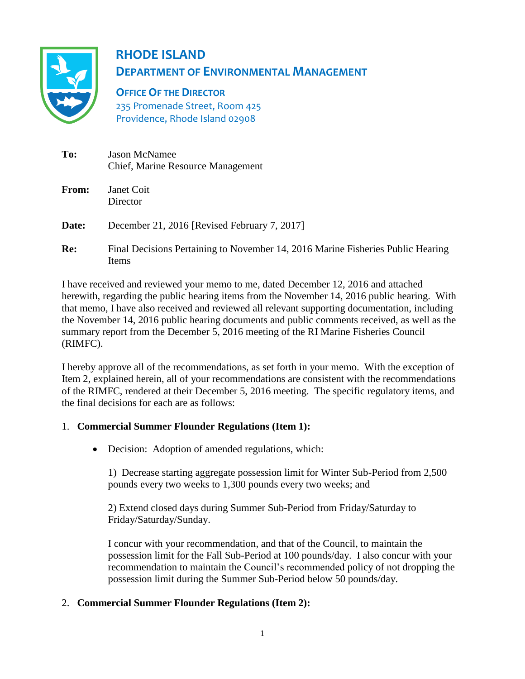

# **RHODE ISLAND DEPARTMENT OF ENVIRONMENTAL MANAGEMENT**

**OFFICE OF THE DIRECTOR** 235 Promenade Street, Room 425 Providence, Rhode Island 02908

| To:          | <b>Jason McNamee</b><br>Chief, Marine Resource Management                                       |
|--------------|-------------------------------------------------------------------------------------------------|
| <b>From:</b> | Janet Coit<br>Director                                                                          |
| Date:        | December 21, 2016 [Revised February 7, 2017]                                                    |
| Re:          | Final Decisions Pertaining to November 14, 2016 Marine Fisheries Public Hearing<br><b>Items</b> |

I have received and reviewed your memo to me, dated December 12, 2016 and attached herewith, regarding the public hearing items from the November 14, 2016 public hearing. With that memo, I have also received and reviewed all relevant supporting documentation, including the November 14, 2016 public hearing documents and public comments received, as well as the summary report from the December 5, 2016 meeting of the RI Marine Fisheries Council (RIMFC).

I hereby approve all of the recommendations, as set forth in your memo. With the exception of Item 2, explained herein, all of your recommendations are consistent with the recommendations of the RIMFC, rendered at their December 5, 2016 meeting. The specific regulatory items, and the final decisions for each are as follows:

## 1. **Commercial Summer Flounder Regulations (Item 1):**

Decision: Adoption of amended regulations, which:

1) Decrease starting aggregate possession limit for Winter Sub-Period from 2,500 pounds every two weeks to 1,300 pounds every two weeks; and

2) Extend closed days during Summer Sub-Period from Friday/Saturday to Friday/Saturday/Sunday.

I concur with your recommendation, and that of the Council, to maintain the possession limit for the Fall Sub-Period at 100 pounds/day. I also concur with your recommendation to maintain the Council's recommended policy of not dropping the possession limit during the Summer Sub-Period below 50 pounds/day.

## 2. **Commercial Summer Flounder Regulations (Item 2):**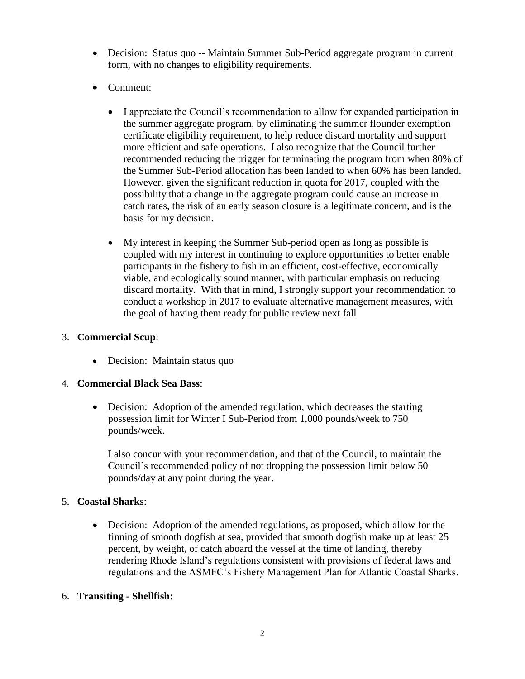- Decision: Status quo -- Maintain Summer Sub-Period aggregate program in current form, with no changes to eligibility requirements.
- Comment:
	- I appreciate the Council's recommendation to allow for expanded participation in the summer aggregate program, by eliminating the summer flounder exemption certificate eligibility requirement, to help reduce discard mortality and support more efficient and safe operations. I also recognize that the Council further recommended reducing the trigger for terminating the program from when 80% of the Summer Sub-Period allocation has been landed to when 60% has been landed. However, given the significant reduction in quota for 2017, coupled with the possibility that a change in the aggregate program could cause an increase in catch rates, the risk of an early season closure is a legitimate concern, and is the basis for my decision.
	- My interest in keeping the Summer Sub-period open as long as possible is coupled with my interest in continuing to explore opportunities to better enable participants in the fishery to fish in an efficient, cost-effective, economically viable, and ecologically sound manner, with particular emphasis on reducing discard mortality. With that in mind, I strongly support your recommendation to conduct a workshop in 2017 to evaluate alternative management measures, with the goal of having them ready for public review next fall.

## 3. **Commercial Scup**:

• Decision: Maintain status quo

## 4. **Commercial Black Sea Bass**:

• Decision: Adoption of the amended regulation, which decreases the starting possession limit for Winter I Sub-Period from 1,000 pounds/week to 750 pounds/week.

I also concur with your recommendation, and that of the Council, to maintain the Council's recommended policy of not dropping the possession limit below 50 pounds/day at any point during the year.

## 5. **Coastal Sharks**:

 Decision: Adoption of the amended regulations, as proposed, which allow for the finning of smooth dogfish at sea, provided that smooth dogfish make up at least 25 percent, by weight, of catch aboard the vessel at the time of landing, thereby rendering Rhode Island's regulations consistent with provisions of federal laws and regulations and the ASMFC's Fishery Management Plan for Atlantic Coastal Sharks.

## 6. **Transiting - Shellfish**: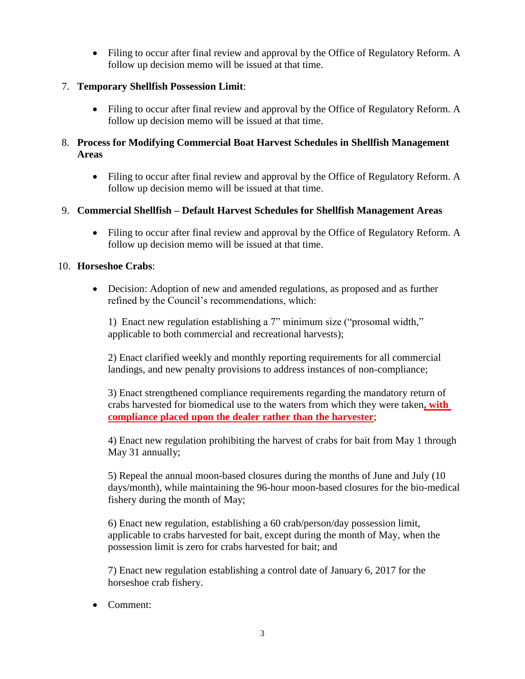• Filing to occur after final review and approval by the Office of Regulatory Reform. A follow up decision memo will be issued at that time.

#### 7. **Temporary Shellfish Possession Limit**:

• Filing to occur after final review and approval by the Office of Regulatory Reform. A follow up decision memo will be issued at that time.

## 8. **Process for Modifying Commercial Boat Harvest Schedules in Shellfish Management Areas**

• Filing to occur after final review and approval by the Office of Regulatory Reform. A follow up decision memo will be issued at that time.

## 9. **Commercial Shellfish – Default Harvest Schedules for Shellfish Management Areas**

• Filing to occur after final review and approval by the Office of Regulatory Reform. A follow up decision memo will be issued at that time.

#### 10. **Horseshoe Crabs**:

 Decision: Adoption of new and amended regulations, as proposed and as further refined by the Council's recommendations, which:

1) Enact new regulation establishing a 7" minimum size ("prosomal width," applicable to both commercial and recreational harvests);

2) Enact clarified weekly and monthly reporting requirements for all commercial landings, and new penalty provisions to address instances of non-compliance;

3) Enact strengthened compliance requirements regarding the mandatory return of crabs harvested for biomedical use to the waters from which they were taken**, with compliance placed upon the dealer rather than the harvester**;

4) Enact new regulation prohibiting the harvest of crabs for bait from May 1 through May 31 annually;

5) Repeal the annual moon-based closures during the months of June and July (10 days/month), while maintaining the 96-hour moon-based closures for the bio-medical fishery during the month of May;

6) Enact new regulation, establishing a 60 crab/person/day possession limit, applicable to crabs harvested for bait, except during the month of May, when the possession limit is zero for crabs harvested for bait; and

7) Enact new regulation establishing a control date of January 6, 2017 for the horseshoe crab fishery.

• Comment: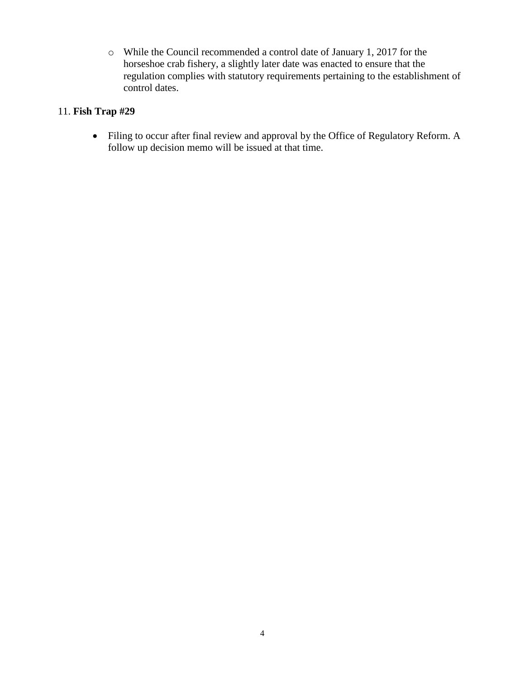o While the Council recommended a control date of January 1, 2017 for the horseshoe crab fishery, a slightly later date was enacted to ensure that the regulation complies with statutory requirements pertaining to the establishment of control dates.

## 11. **Fish Trap #29**

 Filing to occur after final review and approval by the Office of Regulatory Reform. A follow up decision memo will be issued at that time.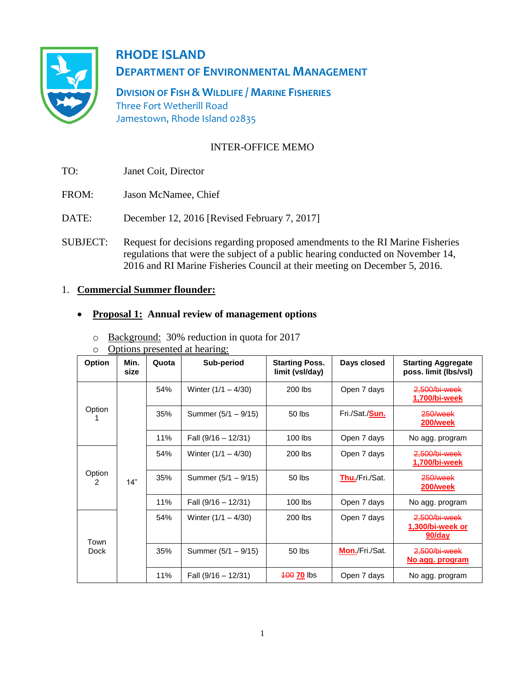

# **RHODE ISLAND DEPARTMENT OF ENVIRONMENTAL MANAGEMENT**

**DIVISION OF FISH & WILDLIFE / MARINE FISHERIES** Three Fort Wetherill Road Jamestown, Rhode Island 02835

## INTER-OFFICE MEMO

- TO: Janet Coit, Director
- FROM: Jason McNamee, Chief
- DATE: December 12, 2016 [Revised February 7, 2017]
- SUBJECT: Request for decisions regarding proposed amendments to the RI Marine Fisheries regulations that were the subject of a public hearing conducted on November 14, 2016 and RI Marine Fisheries Council at their meeting on December 5, 2016.

## 1. **Commercial Summer flounder:**

## **Proposal 1: Annual review of management options**

o Background: 30% reduction in quota for 2017

o Options presented at hearing:

| <b>Option</b> | Min.<br>size | Quota | Sub-period            | <b>Starting Poss.</b><br>limit (vsl/day) | Days closed            | <b>Starting Aggregate</b><br>poss. limit (lbs/vsl) |
|---------------|--------------|-------|-----------------------|------------------------------------------|------------------------|----------------------------------------------------|
| Option        | 14"          | 54%   | Winter $(1/1 - 4/30)$ | 200 lbs                                  | Open 7 days            | 2,500/bi-week<br>1,700/bi-week                     |
|               |              | 35%   | Summer (5/1 – 9/15)   | 50 lbs                                   | Fri./Sat./ <b>Sun.</b> | 250/week<br><b>200/week</b>                        |
|               |              | 11%   | Fall $(9/16 - 12/31)$ | $100$ lbs                                | Open 7 days            | No agg. program                                    |
| Option<br>2   |              | 54%   | Winter $(1/1 - 4/30)$ | 200 lbs                                  | Open 7 days            | 2.500/bi-week<br>1,700/bi-week                     |
|               |              | 35%   | Summer (5/1 – 9/15)   | 50 lbs                                   | Thu./Fri./Sat.         | 250/week<br><b>200/week</b>                        |
|               |              | 11%   | Fall $(9/16 - 12/31)$ | $100$ lbs                                | Open 7 days            | No agg. program                                    |
| Town<br>Dock  |              | 54%   | Winter $(1/1 - 4/30)$ | 200 lbs                                  | Open 7 days            | 2,500/bi-week<br>1,300/bi-week or<br>$90$ /day     |
|               |              | 35%   | Summer (5/1 – 9/15)   | 50 lbs                                   | Mon./Fri./Sat.         | 2,500/bi-week<br>No agg. program                   |
|               |              | 11%   | Fall $(9/16 - 12/31)$ | 400 70 lbs                               | Open 7 days            | No agg. program                                    |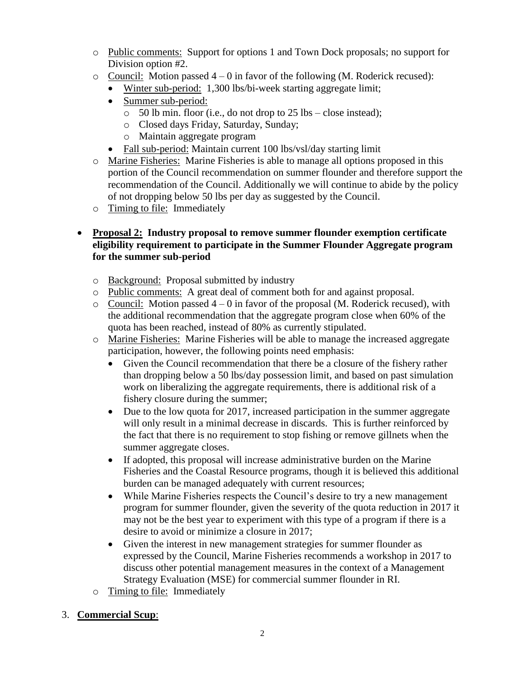- o Public comments: Support for options 1 and Town Dock proposals; no support for Division option #2.
- $\circ$  Council: Motion passed  $4 0$  in favor of the following (M. Roderick recused):
	- Winter sub-period: 1,300 lbs/bi-week starting aggregate limit;
	- Summer sub-period:
		- o 50 lb min. floor (i.e., do not drop to 25 lbs close instead);
		- o Closed days Friday, Saturday, Sunday;
		- o Maintain aggregate program
	- Fall sub-period: Maintain current 100 lbs/vsl/day starting limit
- o Marine Fisheries: Marine Fisheries is able to manage all options proposed in this portion of the Council recommendation on summer flounder and therefore support the recommendation of the Council. Additionally we will continue to abide by the policy of not dropping below 50 lbs per day as suggested by the Council.
- o Timing to file: Immediately

## **Proposal 2: Industry proposal to remove summer flounder exemption certificate eligibility requirement to participate in the Summer Flounder Aggregate program for the summer sub-period**

- o Background: Proposal submitted by industry
- o Public comments: A great deal of comment both for and against proposal.
- $\circ$  Council: Motion passed  $4 0$  in favor of the proposal (M. Roderick recused), with the additional recommendation that the aggregate program close when 60% of the quota has been reached, instead of 80% as currently stipulated.
- o Marine Fisheries: Marine Fisheries will be able to manage the increased aggregate participation, however, the following points need emphasis:
	- Given the Council recommendation that there be a closure of the fishery rather than dropping below a 50 lbs/day possession limit, and based on past simulation work on liberalizing the aggregate requirements, there is additional risk of a fishery closure during the summer;
	- Due to the low quota for 2017, increased participation in the summer aggregate will only result in a minimal decrease in discards. This is further reinforced by the fact that there is no requirement to stop fishing or remove gillnets when the summer aggregate closes.
	- If adopted, this proposal will increase administrative burden on the Marine Fisheries and the Coastal Resource programs, though it is believed this additional burden can be managed adequately with current resources;
	- While Marine Fisheries respects the Council's desire to try a new management program for summer flounder, given the severity of the quota reduction in 2017 it may not be the best year to experiment with this type of a program if there is a desire to avoid or minimize a closure in 2017;
	- Given the interest in new management strategies for summer flounder as expressed by the Council, Marine Fisheries recommends a workshop in 2017 to discuss other potential management measures in the context of a Management Strategy Evaluation (MSE) for commercial summer flounder in RI.
- o Timing to file: Immediately

## 3. **Commercial Scup**: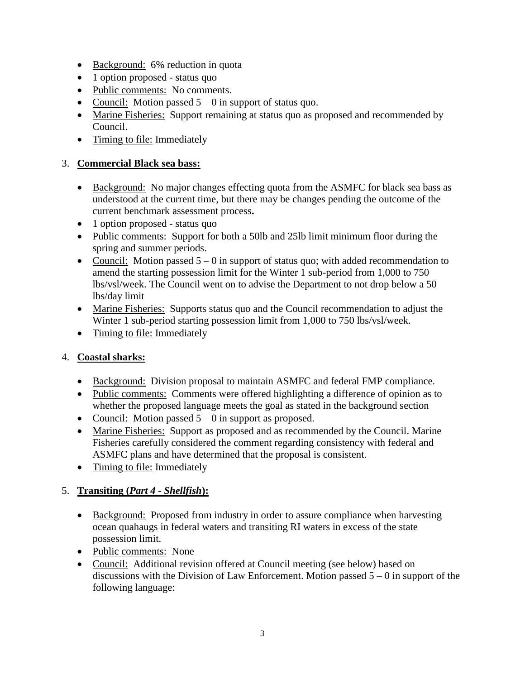- Background: 6% reduction in quota
- 1 option proposed status quo
- Public comments: No comments.
- Council: Motion passed  $5 0$  in support of status quo.
- Marine Fisheries: Support remaining at status quo as proposed and recommended by Council.
- Timing to file: Immediately

## 3. **Commercial Black sea bass:**

- Background: No major changes effecting quota from the ASMFC for black sea bass as understood at the current time, but there may be changes pending the outcome of the current benchmark assessment process**.**
- 1 option proposed status quo
- Public comments: Support for both a 50lb and 25lb limit minimum floor during the spring and summer periods.
- Council: Motion passed  $5 0$  in support of status quo; with added recommendation to amend the starting possession limit for the Winter 1 sub-period from 1,000 to 750 lbs/vsl/week. The Council went on to advise the Department to not drop below a 50 lbs/day limit
- Marine Fisheries: Supports status quo and the Council recommendation to adjust the Winter 1 sub-period starting possession limit from 1,000 to 750 lbs/vsl/week.
- Timing to file: Immediately

## 4. **Coastal sharks:**

- Background: Division proposal to maintain ASMFC and federal FMP compliance.
- Public comments: Comments were offered highlighting a difference of opinion as to whether the proposed language meets the goal as stated in the background section
- Council: Motion passed  $5 0$  in support as proposed.
- Marine Fisheries: Support as proposed and as recommended by the Council. Marine Fisheries carefully considered the comment regarding consistency with federal and ASMFC plans and have determined that the proposal is consistent.
- Timing to file: Immediately

## 5. **Transiting (***Part 4 - Shellfish***):**

- Background: Proposed from industry in order to assure compliance when harvesting ocean quahaugs in federal waters and transiting RI waters in excess of the state possession limit.
- Public comments: None
- Council: Additional revision offered at Council meeting (see below) based on discussions with the Division of Law Enforcement. Motion passed  $5 - 0$  in support of the following language: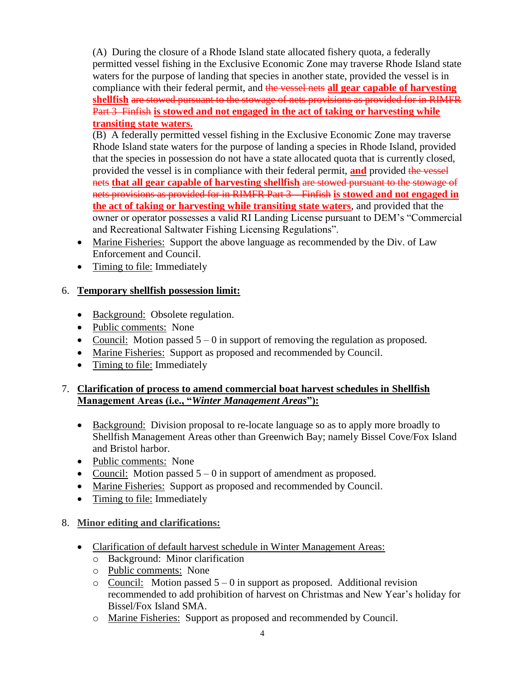(A) During the closure of a Rhode Island state allocated fishery quota, a federally permitted vessel fishing in the Exclusive Economic Zone may traverse Rhode Island state waters for the purpose of landing that species in another state, provided the vessel is in compliance with their federal permit, and the vessel nets **all gear capable of harvesting shellfish** are stowed pursuant to the stowage of nets provisions as provided for in RIMFR Part 3 Finfish **is stowed and not engaged in the act of taking or harvesting while transiting state waters.** 

(B) A federally permitted vessel fishing in the Exclusive Economic Zone may traverse Rhode Island state waters for the purpose of landing a species in Rhode Island, provided that the species in possession do not have a state allocated quota that is currently closed, provided the vessel is in compliance with their federal permit, **and** provided the vessel nets **that all gear capable of harvesting shellfish** are stowed pursuant to the stowage of nets provisions as provided for in RIMFR Part 3 – Finfish **is stowed and not engaged in the act of taking or harvesting while transiting state waters**, and provided that the owner or operator possesses a valid RI Landing License pursuant to DEM's "Commercial and Recreational Saltwater Fishing Licensing Regulations".

- Marine Fisheries: Support the above language as recommended by the Div. of Law Enforcement and Council.
- Timing to file: Immediately

## 6. **Temporary shellfish possession limit:**

- Background: Obsolete regulation.
- Public comments: None
- Council: Motion passed  $5 0$  in support of removing the regulation as proposed.
- Marine Fisheries: Support as proposed and recommended by Council.
- Timing to file: Immediately

## 7. **Clarification of process to amend commercial boat harvest schedules in Shellfish Management Areas (i.e., "***Winter Management Areas***"):**

- Background: Division proposal to re-locate language so as to apply more broadly to Shellfish Management Areas other than Greenwich Bay; namely Bissel Cove/Fox Island and Bristol harbor.
- Public comments: None
- Council: Motion passed  $5 0$  in support of amendment as proposed.
- Marine Fisheries: Support as proposed and recommended by Council.
- Timing to file: Immediately

# 8. **Minor editing and clarifications:**

- Clarification of default harvest schedule in Winter Management Areas:
	- o Background: Minor clarification
	- o Public comments: None
	- $\circ$  Council: Motion passed  $5 0$  in support as proposed. Additional revision recommended to add prohibition of harvest on Christmas and New Year's holiday for Bissel/Fox Island SMA.
	- o Marine Fisheries: Support as proposed and recommended by Council.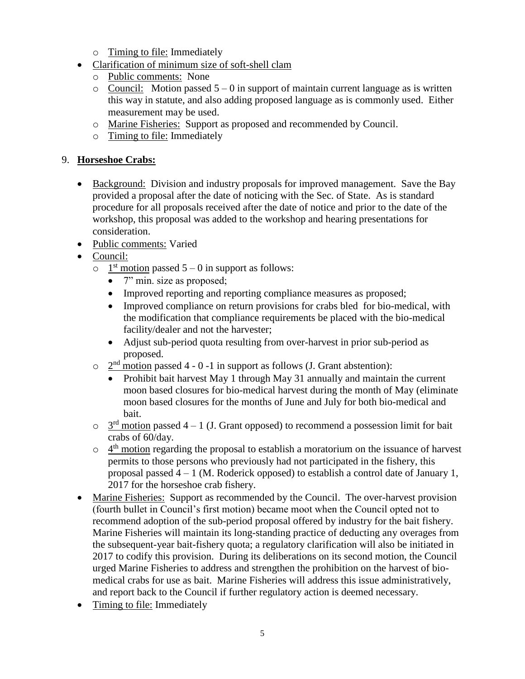- o Timing to file: Immediately
- Clarification of minimum size of soft-shell clam
	- o Public comments: None
	- $\circ$  Council: Motion passed  $5 0$  in support of maintain current language as is written this way in statute, and also adding proposed language as is commonly used. Either measurement may be used.
	- o Marine Fisheries: Support as proposed and recommended by Council.
	- o Timing to file: Immediately

## 9. **Horseshoe Crabs:**

- Background: Division and industry proposals for improved management. Save the Bay provided a proposal after the date of noticing with the Sec. of State. As is standard procedure for all proposals received after the date of notice and prior to the date of the workshop, this proposal was added to the workshop and hearing presentations for consideration.
- Public comments: Varied
- Council:
	- $\circ$  1<sup>st</sup> motion passed 5 0 in support as follows:
		- 7" min. size as proposed;
		- Improved reporting and reporting compliance measures as proposed;
		- Improved compliance on return provisions for crabs bled for bio-medical, with the modification that compliance requirements be placed with the bio-medical facility/dealer and not the harvester;
		- Adjust sub-period quota resulting from over-harvest in prior sub-period as proposed.
	- $\circ$   $2<sup>nd</sup>$  motion passed 4 0 -1 in support as follows (J. Grant abstention):
		- Prohibit bait harvest May 1 through May 31 annually and maintain the current moon based closures for bio-medical harvest during the month of May (eliminate moon based closures for the months of June and July for both bio-medical and bait.
	- $\circ$   $3<sup>rd</sup>$  motion passed 4 1 (J. Grant opposed) to recommend a possession limit for bait crabs of 60/day.
	- $\circ$  4<sup>th</sup> motion regarding the proposal to establish a moratorium on the issuance of harvest permits to those persons who previously had not participated in the fishery, this proposal passed  $4 - 1$  (M. Roderick opposed) to establish a control date of January 1, 2017 for the horseshoe crab fishery.
- Marine Fisheries: Support as recommended by the Council. The over-harvest provision (fourth bullet in Council's first motion) became moot when the Council opted not to recommend adoption of the sub-period proposal offered by industry for the bait fishery. Marine Fisheries will maintain its long-standing practice of deducting any overages from the subsequent-year bait-fishery quota; a regulatory clarification will also be initiated in 2017 to codify this provision. During its deliberations on its second motion, the Council urged Marine Fisheries to address and strengthen the prohibition on the harvest of biomedical crabs for use as bait. Marine Fisheries will address this issue administratively, and report back to the Council if further regulatory action is deemed necessary.
- Timing to file: Immediately